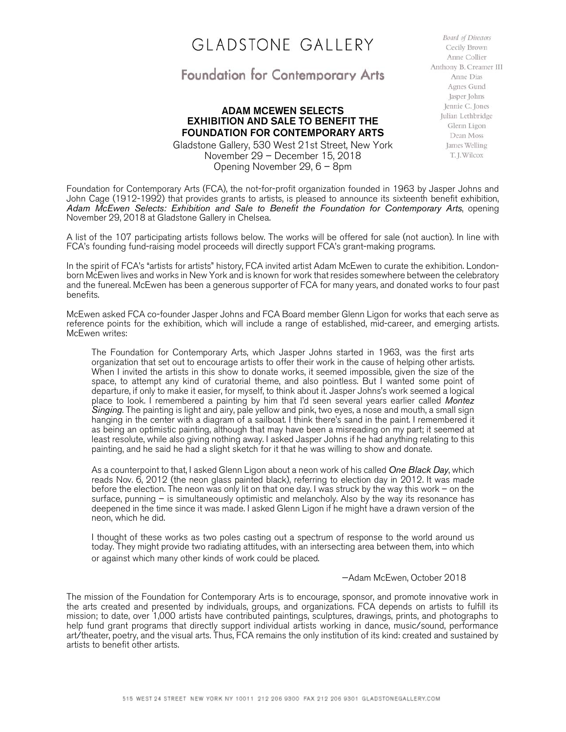## GLADSTONE GALLERY

## Foundation for Contemporary Arts

## ADAM MCEWEN SELECTS EXHIBITION AND SALE TO BENEFIT THE FOUNDATION FOR CONTEMPORARY ARTS

Gladstone Gallery, 530 West 21st Street, New York November 29 – December 15, 2018 Opening November 29, 6 – 8pm

**Board of Directors** Cecily Brown Anne Collier Anthony B. Creamer III Anne Dias Agnes Gund Jasper Johns Jennie C. Jones Julian Lethbridge Glenn Ligon Dean Moss James Welling T. J. Wilcox

Foundation for Contemporary Arts (FCA), the not-for-profit organization founded in 1963 by Jasper Johns and John Cage (1912-1992) that provides grants to artists, is pleased to announce its sixteenth benefit exhibition, *Adam McEwen Selects: Exhibition and Sale to Benefit the Foundation for Contemporary Arts*, opening November 29, 2018 at Gladstone Gallery in Chelsea.

A list of the 107 participating artists follows below. The works will be offered for sale (not auction). In line with FCA's founding fund-raising model proceeds will directly support FCA's grant-making programs.

In the spirit of FCA's "artists for artists" history, FCA invited artist Adam McEwen to curate the exhibition. Londonborn McEwen lives and works in New York and is known for work that resides somewhere between the celebratory and the funereal. McEwen has been a generous supporter of FCA for many years, and donated works to four past benefits.

McEwen asked FCA co-founder Jasper Johns and FCA Board member Glenn Ligon for works that each serve as reference points for the exhibition, which will include a range of established, mid-career, and emerging artists. McEwen writes:

The Foundation for Contemporary Arts, which Jasper Johns started in 1963, was the first arts organization that set out to encourage artists to offer their work in the cause of helping other artists. When I invited the artists in this show to donate works, it seemed impossible, given the size of the space, to attempt any kind of curatorial theme, and also pointless. But I wanted some point of departure, if only to make it easier, for myself, to think about it. Jasper Johns's work seemed a logical place to look. I remembered a painting by him that I'd seen several years earlier called *Montez Singing*. The painting is light and airy, pale yellow and pink, two eyes, a nose and mouth, a small sign hanging in the center with a diagram of a sailboat. I think there's sand in the paint. I remembered it as being an optimistic painting, although that may have been a misreading on my part; it seemed at least resolute, while also giving nothing away. I asked Jasper Johns if he had anything relating to this painting, and he said he had a slight sketch for it that he was willing to show and donate.

As a counterpoint to that, I asked Glenn Ligon about a neon work of his called *One Black Day*, which reads Nov. 6, 2012 (the neon glass painted black), referring to election day in 2012. It was made before the election. The neon was only lit on that one day. I was struck by the way this work – on the surface, punning – is simultaneously optimistic and melancholy. Also by the way its resonance has deepened in the time since it was made. I asked Glenn Ligon if he might have a drawn version of the neon, which he did.

I thought of these works as two poles casting out a spectrum of response to the world around us today. They might provide two radiating attitudes, with an intersecting area between them, into which or against which many other kinds of work could be placed.

—Adam McEwen, October 2018

The mission of the Foundation for Contemporary Arts is to encourage, sponsor, and promote innovative work in the arts created and presented by individuals, groups, and organizations. FCA depends on artists to fulfill its mission; to date, over 1,000 artists have contributed paintings, sculptures, drawings, prints, and photographs to help fund grant programs that directly support individual artists working in dance, music/sound, performance art/theater, poetry, and the visual arts. Thus, FCA remains the only institution of its kind: created and sustained by artists to benefit other artists.